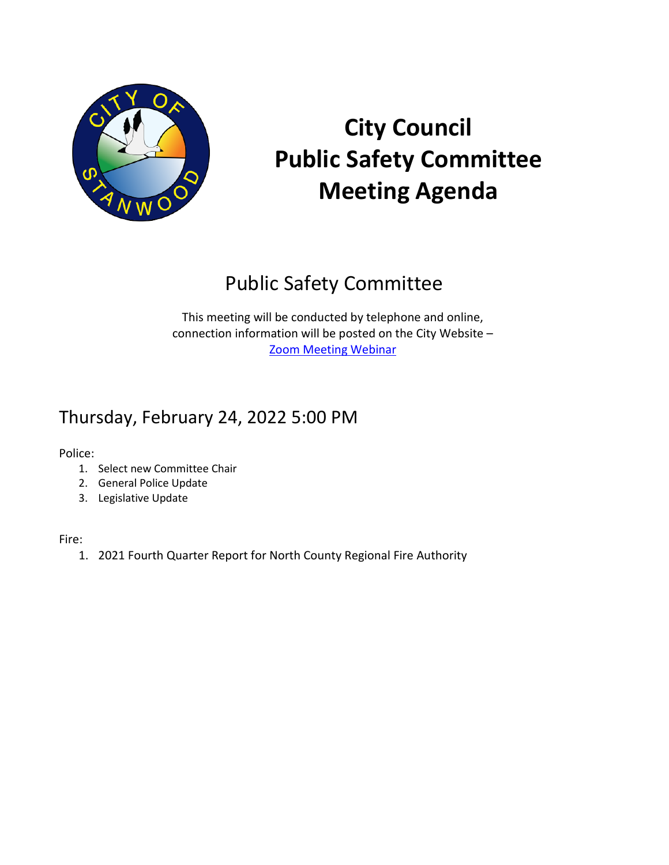

# **City Council Public Safety Committee Meeting Agenda**

## Public Safety Committee

This meeting will be conducted by telephone and online, connection information will be posted on the City Website – [Zoom Meeting Webinar](https://stanwoodwa.org/Calendar.aspx?EID=591)

### Thursday, February 24, 2022 5:00 PM

Police:

- 1. Select new Committee Chair
- 2. General Police Update
- 3. Legislative Update

Fire:

1. 2021 Fourth Quarter Report for North County Regional Fire Authority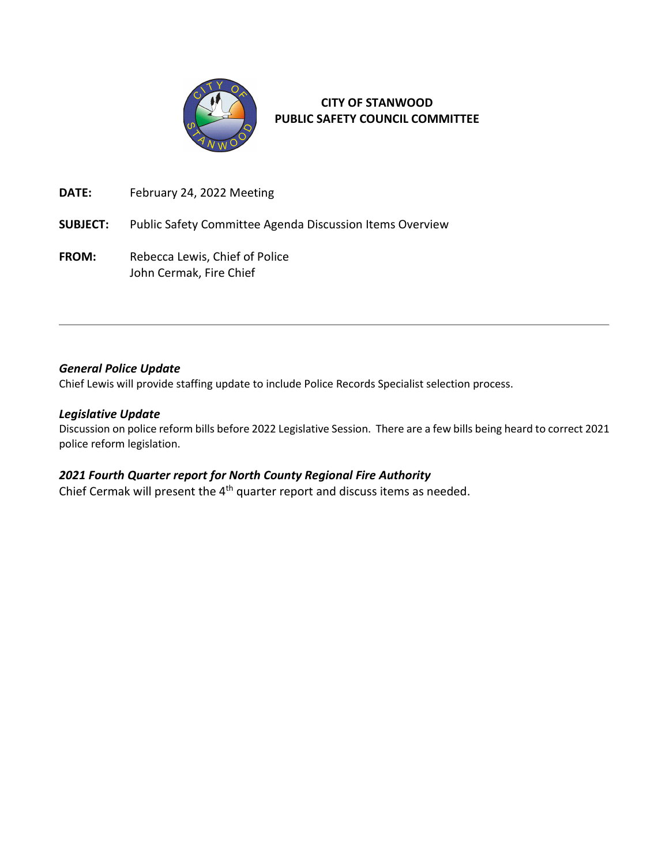

**CITY OF STANWOOD PUBLIC SAFETY COUNCIL COMMITTEE**

**DATE:** February 24, 2022 Meeting

**SUBJECT:** Public Safety Committee Agenda Discussion Items Overview

FROM: Rebecca Lewis, Chief of Police John Cermak, Fire Chief

#### *General Police Update*

Chief Lewis will provide staffing update to include Police Records Specialist selection process.

#### *Legislative Update*

Discussion on police reform bills before 2022 Legislative Session. There are a few bills being heard to correct 2021 police reform legislation.

#### *2021 Fourth Quarter report for North County Regional Fire Authority*

Chief Cermak will present the 4<sup>th</sup> quarter report and discuss items as needed.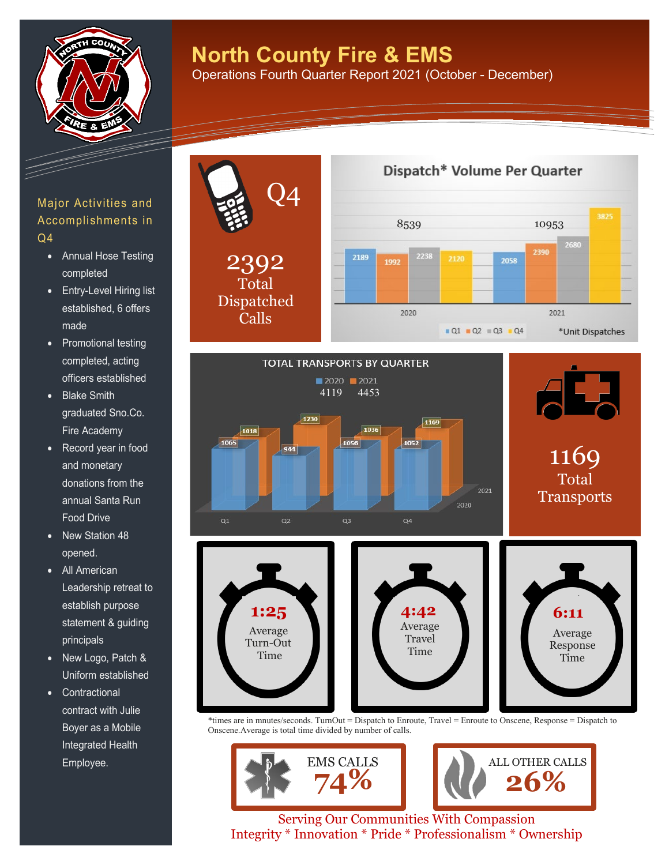

## **North County Fire & EMS**

Operations Fourth Quarter Report 2021 (October - December)

#### Major Activities and Accomplishments in Q4

- Annual Hose Testing completed
- Entry-Level Hiring list established, 6 offers made
- Promotional testing completed, acting officers established
- Blake Smith graduated Sno.Co. Fire Academy
- Record year in food and monetary donations from the annual Santa Run Food Drive
- New Station 48 opened.
- All American Leadership retreat to establish purpose statement & guiding principals
- New Logo, Patch & Uniform established
- Contractional contract with Julie Boyer as a Mobile Integrated Health Employee.



Transports 2020  $Q1$  $Q<sub>2</sub>$  $Q3$  $Q4$ **1:25 1 4:42 6:11** Average Average Average Travel Turn-Out Response Time Time Time

\*times are in mnutes/seconds. TurnOut = Dispatch to Enroute, Travel = Enroute to Onscene, Response = Dispatch to Onscene.Average is total time divided by number of calls.



Serving Our Communities With Compassion Integrity \* Innovation \* Pride \* Professionalism \* Ownership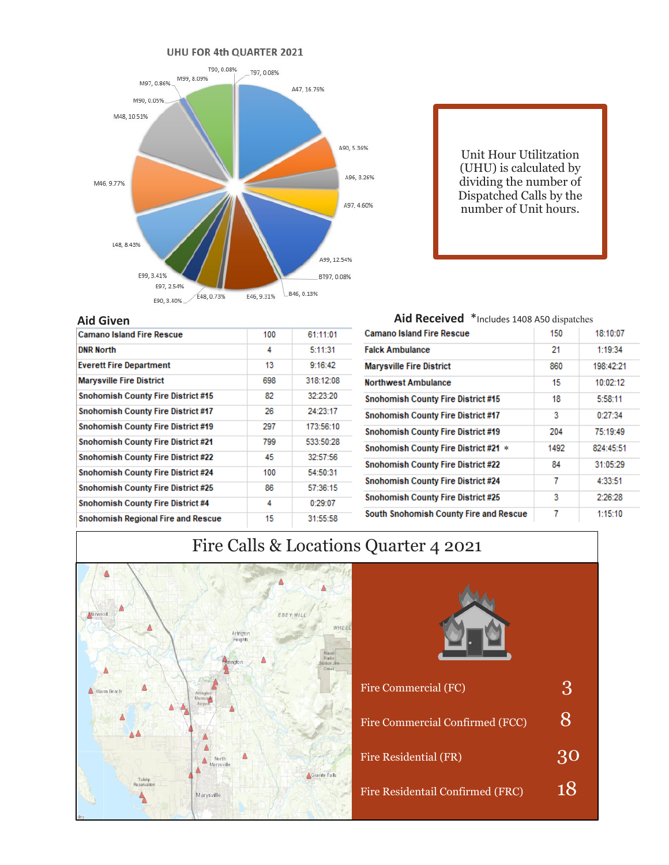

Unit Hour Utilitzation (UHU) is calculated by dividing the number of Dispatched Calls by the number of Unit hours.

| <b>Aid Given</b>                          |     |           |
|-------------------------------------------|-----|-----------|
| <b>Camano Island Fire Rescue</b>          | 100 | 61:11:01  |
| <b>DNR North</b>                          | 4   | 5:11:31   |
| <b>Everett Fire Department</b>            | 13  | 9:16:42   |
| <b>Marysville Fire District</b>           | 698 | 318:12:08 |
| <b>Snohomish County Fire District #15</b> | 82  | 32:23:20  |
| <b>Snohomish County Fire District #17</b> | 26  | 24:23:17  |
| Snohomish County Fire District #19        | 297 | 173:56:10 |
| Snohomish County Fire District #21        | 799 | 533:50:28 |
| Snohomish County Fire District #22        | 45  | 32:57:56  |
| Snohomish County Fire District #24        | 100 | 54:50:31  |
| <b>Snohomish County Fire District #25</b> | 86  | 57:36:15  |
| <b>Snohomish County Fire District #4</b>  | 4   | 0:29:07   |
| <b>Snohomish Regional Fire and Rescue</b> | 15  | 31:55:58  |

| Aid Received *Includes 1408 A50 dispatches  |      |           |  |  |  |  |
|---------------------------------------------|------|-----------|--|--|--|--|
| <b>Camano Island Fire Rescue</b>            | 150  | 18:10:07  |  |  |  |  |
| <b>Falck Ambulance</b>                      | 21   | 1:19:34   |  |  |  |  |
| <b>Marysville Fire District</b>             | 860  | 198:42:21 |  |  |  |  |
| <b>Northwest Ambulance</b>                  | 15   | 10:02:12  |  |  |  |  |
| <b>Snohomish County Fire District #15</b>   | 18   | 5:58:11   |  |  |  |  |
| <b>Snohomish County Fire District #17</b>   | 3    | 0:27:34   |  |  |  |  |
| <b>Snohomish County Fire District #19</b>   | 204  | 75:19:49  |  |  |  |  |
| <b>Snohomish County Fire District #21 *</b> | 1492 | 824:45:51 |  |  |  |  |
| <b>Snohomish County Fire District #22</b>   | 84   | 31:05:29  |  |  |  |  |
| <b>Snohomish County Fire District #24</b>   | 7    | 4:33:51   |  |  |  |  |
| <b>Snohomish County Fire District #25</b>   | 3    | 2:26:28   |  |  |  |  |
| South Snohomish County Fire and Rescue      | 7    | 1:15:10   |  |  |  |  |

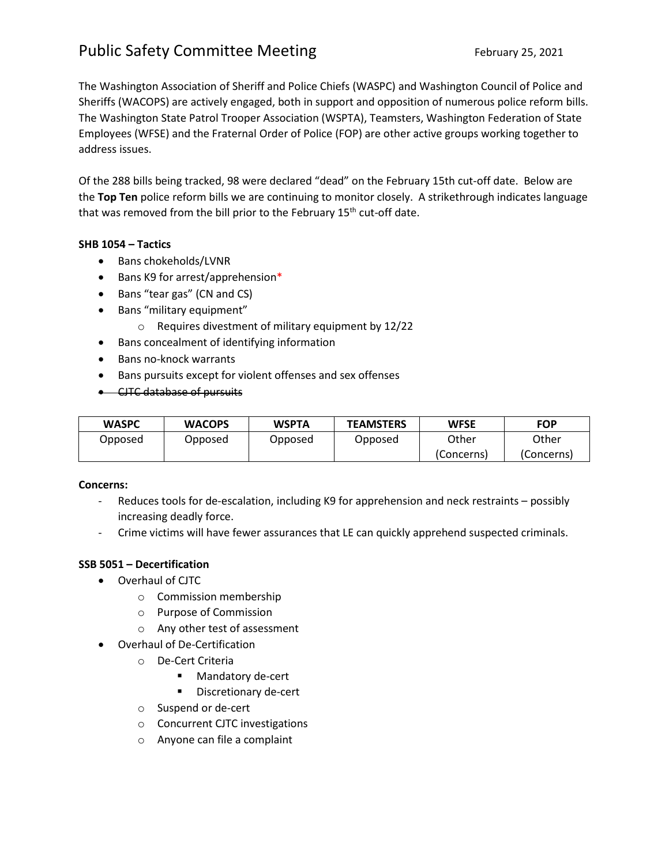### Public Safety Committee Meeting February 25, 2021

The Washington Association of Sheriff and Police Chiefs (WASPC) and Washington Council of Police and Sheriffs (WACOPS) are actively engaged, both in support and opposition of numerous police reform bills. The Washington State Patrol Trooper Association (WSPTA), Teamsters, Washington Federation of State Employees (WFSE) and the Fraternal Order of Police (FOP) are other active groups working together to address issues.

Of the 288 bills being tracked, 98 were declared "dead" on the February 15th cut-off date. Below are the **Top Ten** police reform bills we are continuing to monitor closely. A strikethrough indicates language that was removed from the bill prior to the February 15<sup>th</sup> cut-off date.

#### **SHB 1054 – Tactics**

- Bans chokeholds/LVNR
- Bans K9 for arrest/apprehension\*
- Bans "tear gas" (CN and CS)
- Bans "military equipment"
	- o Requires divestment of military equipment by 12/22
- Bans concealment of identifying information
- Bans no-knock warrants
- Bans pursuits except for violent offenses and sex offenses
- CJTC database of pursuits

| <b>WASPC</b> | <b>WACOPS</b> | <b>WSPTA</b> | <b>TEAMSTERS</b> | <b>WFSE</b> | <b>FOP</b> |
|--------------|---------------|--------------|------------------|-------------|------------|
| Opposed      | Opposed       | Opposed      | Opposed          | Other       | Other      |
|              |               |              |                  | (Concerns)  | (Concerns) |

#### **Concerns:**

- Reduces tools for de-escalation, including K9 for apprehension and neck restraints possibly increasing deadly force.
- Crime victims will have fewer assurances that LE can quickly apprehend suspected criminals.

#### **SSB 5051 – Decertification**

- Overhaul of CJTC
	- o Commission membership
	- o Purpose of Commission
	- o Any other test of assessment
- Overhaul of De-Certification
	- o De-Cert Criteria
		- **Mandatory de-cert**
		- **Discretionary de-cert**
	- o Suspend or de-cert
	- o Concurrent CJTC investigations
	- o Anyone can file a complaint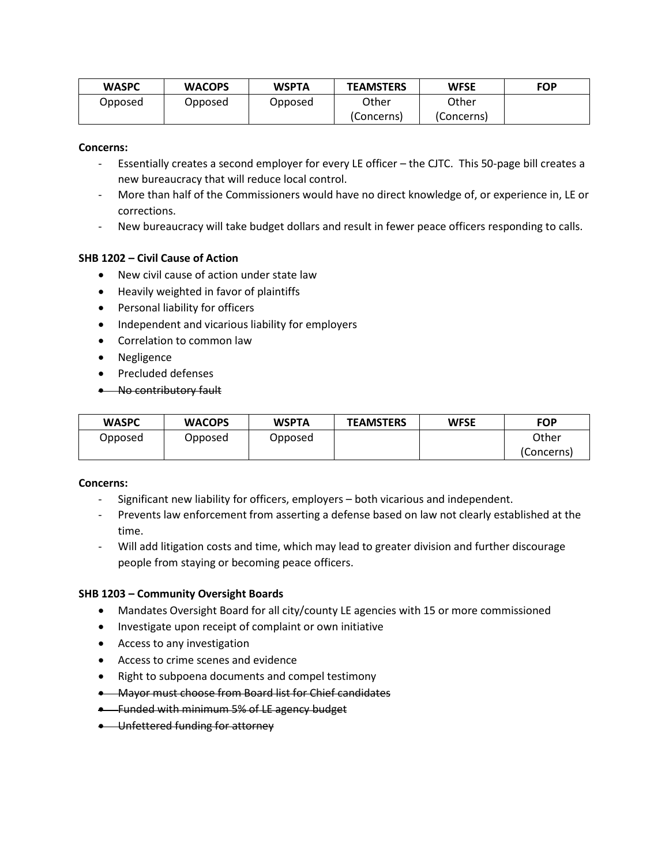| <b>WASPC</b> | <b>WACOPS</b> | <b>WSPTA</b> | <b>TEAMSTERS</b> | <b>WFSE</b> | <b>FOP</b> |
|--------------|---------------|--------------|------------------|-------------|------------|
| Opposed      | Opposed       | Opposed      | Other            | Other       |            |
|              |               |              | (Concerns)       | (Concerns)  |            |

#### **Concerns:**

- Essentially creates a second employer for every LE officer the CJTC. This 50-page bill creates a new bureaucracy that will reduce local control.
- More than half of the Commissioners would have no direct knowledge of, or experience in, LE or corrections.
- New bureaucracy will take budget dollars and result in fewer peace officers responding to calls.

#### **SHB 1202 – Civil Cause of Action**

- New civil cause of action under state law
- Heavily weighted in favor of plaintiffs
- Personal liability for officers
- Independent and vicarious liability for employers
- Correlation to common law
- Negligence
- Precluded defenses
- No contributory fault

| <b>WASPC</b> | <b>WACOPS</b> | <b>WSPTA</b> | <b>TEAMSTERS</b> | <b>WFSE</b> | <b>FOP</b> |
|--------------|---------------|--------------|------------------|-------------|------------|
| Opposed      | Opposed       | Opposed      |                  |             | Other      |
|              |               |              |                  |             | (Concerns) |

#### **Concerns:**

- Significant new liability for officers, employers both vicarious and independent.
- Prevents law enforcement from asserting a defense based on law not clearly established at the time.
- Will add litigation costs and time, which may lead to greater division and further discourage people from staying or becoming peace officers.

#### **SHB 1203 – Community Oversight Boards**

- Mandates Oversight Board for all city/county LE agencies with 15 or more commissioned
- Investigate upon receipt of complaint or own initiative
- Access to any investigation
- Access to crime scenes and evidence
- Right to subpoena documents and compel testimony
- Mayor must choose from Board list for Chief candidates
- **•** Funded with minimum 5% of LE agency budget
- Unfettered funding for attorney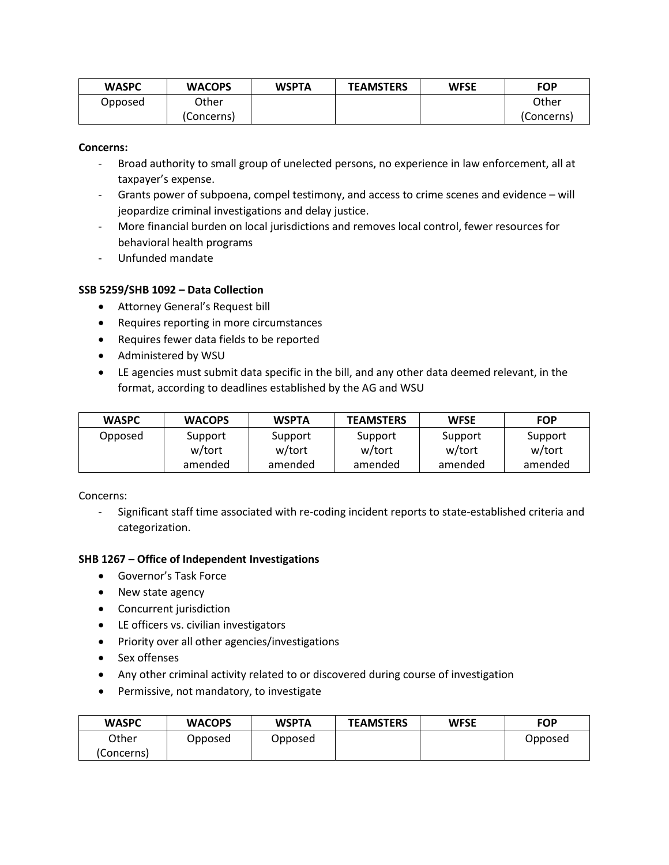| <b>WASPC</b> | <b>WACOPS</b> | <b>WSPTA</b> | <b>TEAMSTERS</b> | <b>WFSE</b> | <b>FOP</b> |
|--------------|---------------|--------------|------------------|-------------|------------|
| Opposed      | Other         |              |                  |             | Other      |
|              | (Concerns)    |              |                  |             | (Concerns) |

#### **Concerns:**

- Broad authority to small group of unelected persons, no experience in law enforcement, all at taxpayer's expense.
- Grants power of subpoena, compel testimony, and access to crime scenes and evidence will jeopardize criminal investigations and delay justice.
- More financial burden on local jurisdictions and removes local control, fewer resources for behavioral health programs
- Unfunded mandate

#### **SSB 5259/SHB 1092 – Data Collection**

- Attorney General's Request bill
- Requires reporting in more circumstances
- Requires fewer data fields to be reported
- Administered by WSU
- LE agencies must submit data specific in the bill, and any other data deemed relevant, in the format, according to deadlines established by the AG and WSU

| <b>WASPC</b> | <b>WACOPS</b> | <b>WSPTA</b> | <b>TEAMSTERS</b> | <b>WFSE</b> | <b>FOP</b> |
|--------------|---------------|--------------|------------------|-------------|------------|
| Opposed      | Support       | Support      | Support          | Support     | Support    |
|              | w/tort        | w/tort       | w/tort           | w/tort      | w/tort     |
|              | amended       | amended      | amended          | amended     | amended    |

Concerns:

- Significant staff time associated with re-coding incident reports to state-established criteria and categorization.

#### **SHB 1267 – Office of Independent Investigations**

- Governor's Task Force
- New state agency
- Concurrent jurisdiction
- LE officers vs. civilian investigators
- Priority over all other agencies/investigations
- Sex offenses
- Any other criminal activity related to or discovered during course of investigation
- Permissive, not mandatory, to investigate

| <b>WASPC</b> | <b>WACOPS</b> | <b>WSPTA</b> | <b>TEAMSTERS</b> | <b>WFSE</b> | <b>FOP</b> |
|--------------|---------------|--------------|------------------|-------------|------------|
| Other        | Opposed       | Opposed      |                  |             | Opposed    |
| (Concerns)   |               |              |                  |             |            |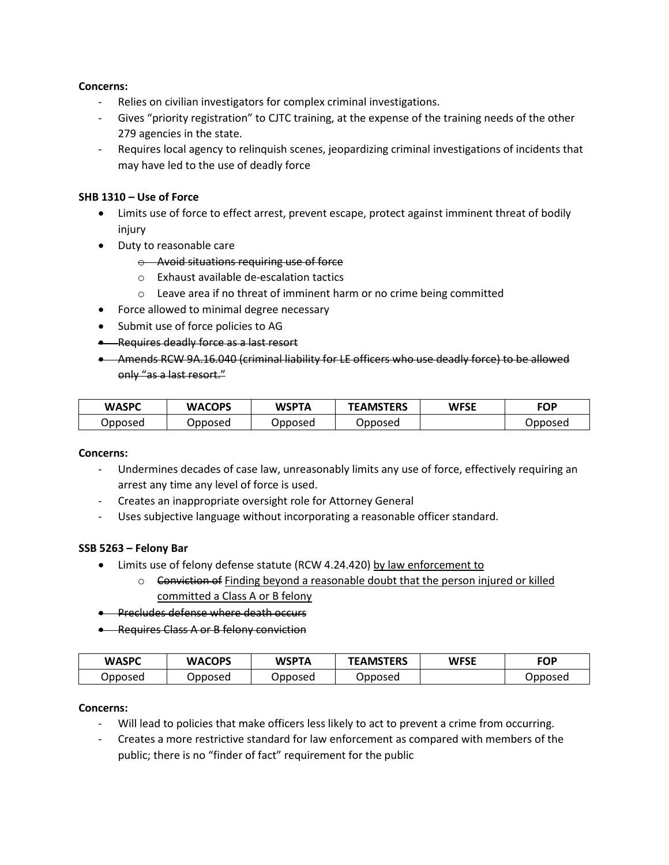#### **Concerns:**

- Relies on civilian investigators for complex criminal investigations.
- Gives "priority registration" to CJTC training, at the expense of the training needs of the other 279 agencies in the state.
- Requires local agency to relinquish scenes, jeopardizing criminal investigations of incidents that may have led to the use of deadly force

#### **SHB 1310 – Use of Force**

- Limits use of force to effect arrest, prevent escape, protect against imminent threat of bodily injury
- Duty to reasonable care
	- o Avoid situations requiring use of force
	- o Exhaust available de-escalation tactics
	- o Leave area if no threat of imminent harm or no crime being committed
- Force allowed to minimal degree necessary
- Submit use of force policies to AG
- Requires deadly force as a last resort
- Amends RCW 9A.16.040 (criminal liability for LE officers who use deadly force) to be allowed only "as a last resort."

| <b>WASPC</b> | <b>WACOPS</b> | <b>WSPTA</b> | <b>TEAMSTERS</b> | <b>WFSE</b> | <b>FOP</b> |
|--------------|---------------|--------------|------------------|-------------|------------|
| Opposed      | Opposed       | Jpposed      | Opposed          |             | Opposed    |

#### **Concerns:**

- Undermines decades of case law, unreasonably limits any use of force, effectively requiring an arrest any time any level of force is used.
- Creates an inappropriate oversight role for Attorney General
- Uses subjective language without incorporating a reasonable officer standard.

#### **SSB 5263 – Felony Bar**

- Limits use of felony defense statute (RCW 4.24.420) by law enforcement to
	- $\circ$  <del>Conviction of</del> Finding beyond a reasonable doubt that the person injured or killed committed a Class A or B felony
- **•** Precludes defense where death occurs
- Requires Class A or B felony conviction

| <b>WASPC</b> | <b>WACOPS</b> | WSPTA   | <b>TEAMSTERS</b> | <b>WFSE</b> | <b>FOP</b> |
|--------------|---------------|---------|------------------|-------------|------------|
| Jpposed      | Jpposed       | Opposed | Opposed          |             | Opposed    |

#### **Concerns:**

- Will lead to policies that make officers less likely to act to prevent a crime from occurring.
- Creates a more restrictive standard for law enforcement as compared with members of the public; there is no "finder of fact" requirement for the public